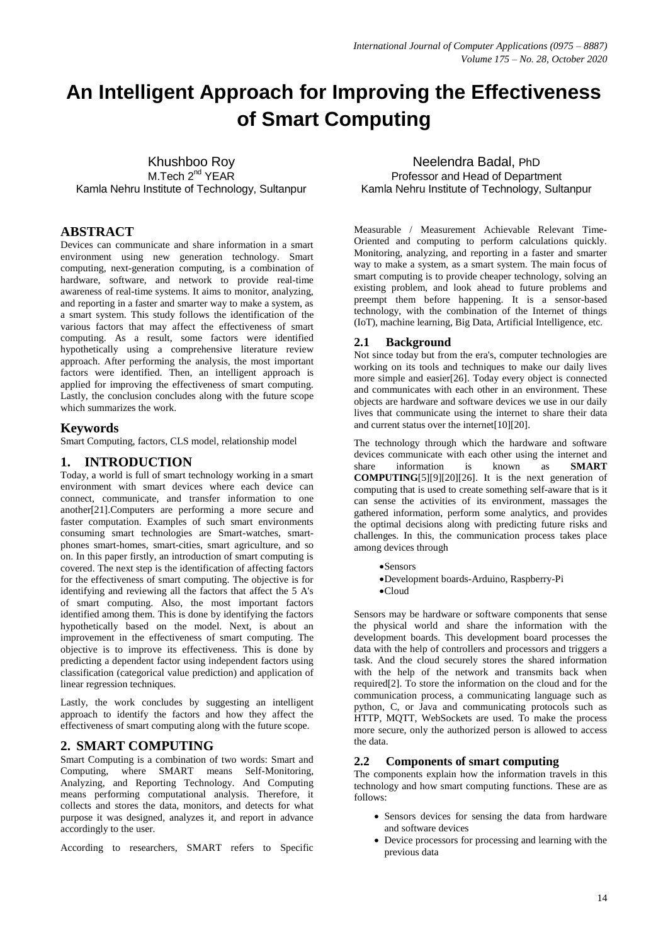# **An Intelligent Approach for Improving the Effectiveness of Smart Computing**

Khushboo Roy M.Tech 2<sup>nd</sup> YEAR Kamla Nehru Institute of Technology, Sultanpur

### **ABSTRACT**

Devices can communicate and share information in a smart environment using new generation technology. Smart computing, next-generation computing, is a combination of hardware, software, and network to provide real-time awareness of real-time systems. It aims to monitor, analyzing, and reporting in a faster and smarter way to make a system, as a smart system. This study follows the identification of the various factors that may affect the effectiveness of smart computing. As a result, some factors were identified hypothetically using a comprehensive literature review approach. After performing the analysis, the most important factors were identified. Then, an intelligent approach is applied for improving the effectiveness of smart computing. Lastly, the conclusion concludes along with the future scope which summarizes the work.

### **Keywords**

Smart Computing, factors, CLS model, relationship model

### **1. INTRODUCTION**

Today, a world is full of smart technology working in a smart environment with smart devices where each device can connect, communicate, and transfer information to one another[21].Computers are performing a more secure and faster computation. Examples of such smart environments consuming smart technologies are Smart-watches, smartphones smart-homes, smart-cities, smart agriculture, and so on. In this paper firstly, an introduction of smart computing is covered. The next step is the identification of affecting factors for the effectiveness of smart computing. The objective is for identifying and reviewing all the factors that affect the 5 A's of smart computing. Also, the most important factors identified among them. This is done by identifying the factors hypothetically based on the model. Next, is about an improvement in the effectiveness of smart computing. The objective is to improve its effectiveness. This is done by predicting a dependent factor using independent factors using classification (categorical value prediction) and application of linear regression techniques.

Lastly, the work concludes by suggesting an intelligent approach to identify the factors and how they affect the effectiveness of smart computing along with the future scope.

### **2. SMART COMPUTING**

Smart Computing is a combination of two words: Smart and Computing, where SMART means Self-Monitoring, Analyzing, and Reporting Technology. And Computing means performing computational analysis. Therefore, it collects and stores the data, monitors, and detects for what purpose it was designed, analyzes it, and report in advance accordingly to the user.

According to researchers, SMART refers to Specific

Neelendra Badal, PhD Professor and Head of Department Kamla Nehru Institute of Technology, Sultanpur

Measurable / Measurement Achievable Relevant Time-Oriented and computing to perform calculations quickly. Monitoring, analyzing, and reporting in a faster and smarter way to make a system, as a smart system. The main focus of smart computing is to provide cheaper technology, solving an existing problem, and look ahead to future problems and preempt them before happening. It is a sensor-based technology, with the combination of the Internet of things (IoT), machine learning, Big Data, Artificial Intelligence, etc.

### **2.1 Background**

Not since today but from the era's, computer technologies are working on its tools and techniques to make our daily lives more simple and easier[26]. Today every object is connected and communicates with each other in an environment. These objects are hardware and software devices we use in our daily lives that communicate using the internet to share their data and current status over the internet[10][20].

The technology through which the hardware and software devices communicate with each other using the internet and share information is known as **SMART COMPUTING**[5][9][20][26]. It is the next generation of computing that is used to create something self-aware that is it can sense the activities of its environment, massages the gathered information, perform some analytics, and provides the optimal decisions along with predicting future risks and challenges. In this, the communication process takes place among devices through

Sensors

- Development boards-Arduino, Raspberry-Pi
- Cloud

Sensors may be hardware or software components that sense the physical world and share the information with the development boards. This development board processes the data with the help of controllers and processors and triggers a task. And the cloud securely stores the shared information with the help of the network and transmits back when required[2]. To store the information on the cloud and for the communication process, a communicating language such as python, C, or Java and communicating protocols such as HTTP, MQTT, WebSockets are used. To make the process more secure, only the authorized person is allowed to access the data.

### **2.2 Components of smart computing**

The components explain how the information travels in this technology and how smart computing functions. These are as follows:

- Sensors devices for sensing the data from hardware and software devices
- Device processors for processing and learning with the previous data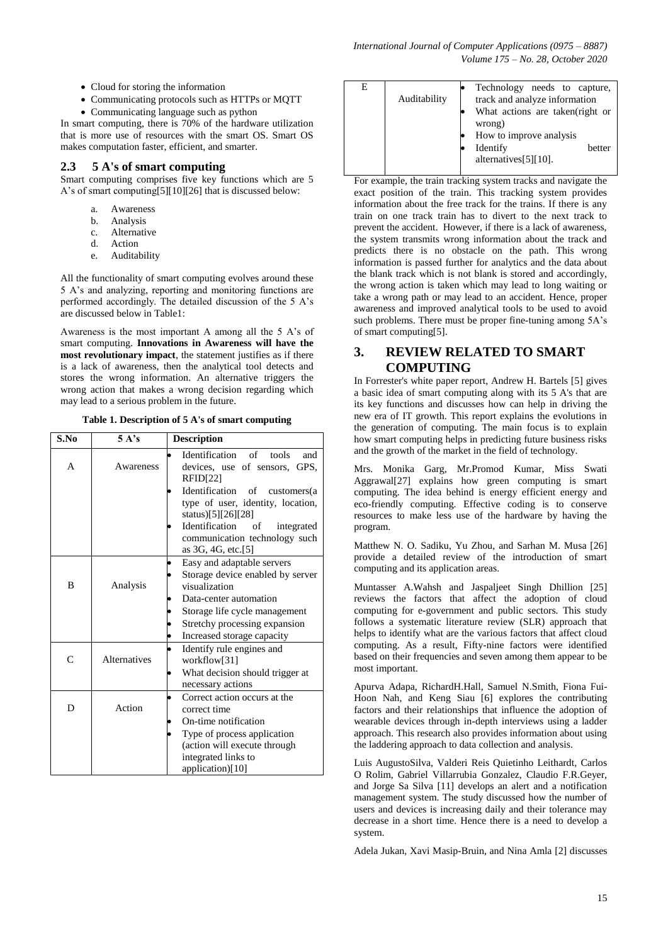- Cloud for storing the information
- Communicating protocols such as HTTPs or MQTT
- Communicating language such as python

In smart computing, there is 70% of the hardware utilization that is more use of resources with the smart OS. Smart OS makes computation faster, efficient, and smarter.

### **2.3 5 A's of smart computing**

Smart computing comprises five key functions which are 5 A's of smart computing[5][10][26] that is discussed below:

- a. Awareness
- b. Analysis
- c. Alternative
- d. Action
- e. Auditability

All the functionality of smart computing evolves around these 5 A's and analyzing, reporting and monitoring functions are performed accordingly. The detailed discussion of the 5 A's are discussed below in Table1:

Awareness is the most important A among all the 5 A's of smart computing. **Innovations in Awareness will have the most revolutionary impact**, the statement justifies as if there is a lack of awareness, then the analytical tool detects and stores the wrong information. An alternative triggers the wrong action that makes a wrong decision regarding which may lead to a serious problem in the future.

**Table 1. Description of 5 A's of smart computing**

| S.No         | 5 A's               | <b>Description</b>                                                                                                                                                                                                                                                          |
|--------------|---------------------|-----------------------------------------------------------------------------------------------------------------------------------------------------------------------------------------------------------------------------------------------------------------------------|
| A            | Awareness           | Identification of<br>tools<br>and<br>devices, use of sensors, GPS,<br><b>RFID[22]</b><br>Identification of customers(a<br>type of user, identity, location,<br>status)[5][26][28]<br>Identification of<br>integrated<br>communication technology such<br>as 3G, 4G, etc.[5] |
| B            | Analysis            | Easy and adaptable servers<br>Storage device enabled by server<br>visualization<br>Data-center automation<br>Storage life cycle management<br>Stretchy processing expansion<br>Increased storage capacity                                                                   |
| $\mathsf{C}$ | <b>Alternatives</b> | Identify rule engines and<br>workflow[31]<br>What decision should trigger at<br>necessary actions                                                                                                                                                                           |
| D            | Action              | Correct action occurs at the<br>correct time<br>On-time notification<br>Type of process application<br>(action will execute through<br>integrated links to<br>application)[10]                                                                                              |

| E | Auditability | Technology needs to capture,<br>track and analyze information<br>What actions are taken (right or<br>wrong)<br>How to improve analysis<br>Identify<br>hetter<br>alternatives[5][10]. |
|---|--------------|--------------------------------------------------------------------------------------------------------------------------------------------------------------------------------------|
|   |              |                                                                                                                                                                                      |

For example, the train tracking system tracks and navigate the exact position of the train. This tracking system provides information about the free track for the trains. If there is any train on one track train has to divert to the next track to prevent the accident. However, if there is a lack of awareness, the system transmits wrong information about the track and predicts there is no obstacle on the path. This wrong information is passed further for analytics and the data about the blank track which is not blank is stored and accordingly, the wrong action is taken which may lead to long waiting or take a wrong path or may lead to an accident. Hence, proper awareness and improved analytical tools to be used to avoid such problems. There must be proper fine-tuning among 5A's of smart computing[5].

# **3. REVIEW RELATED TO SMART COMPUTING**

In Forrester's white paper report, Andrew H. Bartels [5] gives a basic idea of smart computing along with its 5 A's that are its key functions and discusses how can help in driving the new era of IT growth. This report explains the evolutions in the generation of computing. The main focus is to explain how smart computing helps in predicting future business risks and the growth of the market in the field of technology.

Mrs. Monika Garg, Mr.Promod Kumar, Miss Swati Aggrawal[27] explains how green computing is smart computing. The idea behind is energy efficient energy and eco-friendly computing. Effective coding is to conserve resources to make less use of the hardware by having the program.

Matthew N. O. Sadiku, Yu Zhou, and Sarhan M. Musa [26] provide a detailed review of the introduction of smart computing and its application areas.

Muntasser A.Wahsh and Jaspaljeet Singh Dhillion [25] reviews the factors that affect the adoption of cloud computing for e-government and public sectors. This study follows a systematic literature review (SLR) approach that helps to identify what are the various factors that affect cloud computing. As a result, Fifty-nine factors were identified based on their frequencies and seven among them appear to be most important.

Apurva Adapa, RichardH.Hall, Samuel N.Smith, Fiona Fui-Hoon Nah, and Keng Siau [6] explores the contributing factors and their relationships that influence the adoption of wearable devices through in-depth interviews using a ladder approach. This research also provides information about using the laddering approach to data collection and analysis.

Luis AugustoSilva, Valderi Reis Quietinho Leithardt, Carlos O Rolim, Gabriel Villarrubia Gonzalez, Claudio F.R.Geyer, and Jorge Sa Silva [11] develops an alert and a notification management system. The study discussed how the number of users and devices is increasing daily and their tolerance may decrease in a short time. Hence there is a need to develop a system.

Adela Jukan, Xavi Masip-Bruin, and Nina Amla [2] discusses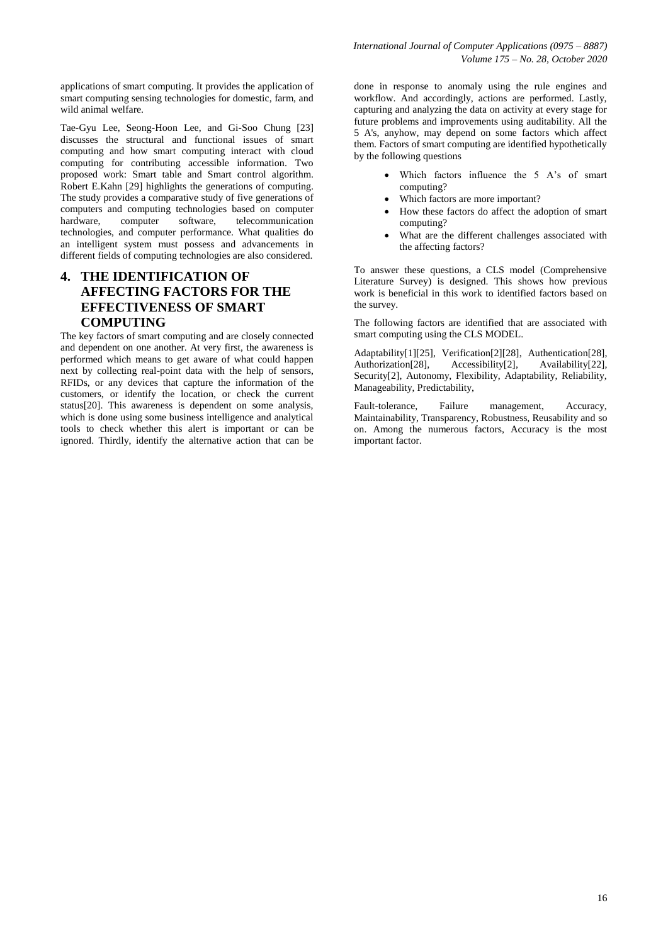applications of smart computing. It provides the application of smart computing sensing technologies for domestic, farm, and wild animal welfare.

Tae-Gyu Lee, Seong-Hoon Lee, and Gi-Soo Chung [23] discusses the structural and functional issues of smart computing and how smart computing interact with cloud computing for contributing accessible information. Two proposed work: Smart table and Smart control algorithm. Robert E.Kahn [29] highlights the generations of computing. The study provides a comparative study of five generations of computers and computing technologies based on computer hardware, computer software, telecommunication technologies, and computer performance. What qualities do an intelligent system must possess and advancements in different fields of computing technologies are also considered.

# **4. THE IDENTIFICATION OF AFFECTING FACTORS FOR THE EFFECTIVENESS OF SMART COMPUTING**

The key factors of smart computing and are closely connected and dependent on one another. At very first, the awareness is performed which means to get aware of what could happen next by collecting real-point data with the help of sensors, RFIDs, or any devices that capture the information of the customers, or identify the location, or check the current status[20]. This awareness is dependent on some analysis, which is done using some business intelligence and analytical tools to check whether this alert is important or can be ignored. Thirdly, identify the alternative action that can be

done in response to anomaly using the rule engines and workflow. And accordingly, actions are performed. Lastly, capturing and analyzing the data on activity at every stage for future problems and improvements using auditability. All the 5 A's, anyhow, may depend on some factors which affect them. Factors of smart computing are identified hypothetically by the following questions

- Which factors influence the 5 A's of smart computing?
- Which factors are more important?
- How these factors do affect the adoption of smart computing?
- What are the different challenges associated with the affecting factors?

To answer these questions, a CLS model (Comprehensive Literature Survey) is designed. This shows how previous work is beneficial in this work to identified factors based on the survey.

The following factors are identified that are associated with smart computing using the CLS MODEL.

Adaptability[1][25], Verification[2][28], Authentication[28], Authorization<sup>[28]</sup>, Accessibility<sup>[2]</sup>, Availability<sup>[22]</sup>, Security[2], Autonomy, Flexibility, Adaptability, Reliability, Manageability, Predictability,

Fault-tolerance, Failure management, Accuracy, Maintainability, Transparency, Robustness, Reusability and so on. Among the numerous factors, Accuracy is the most important factor.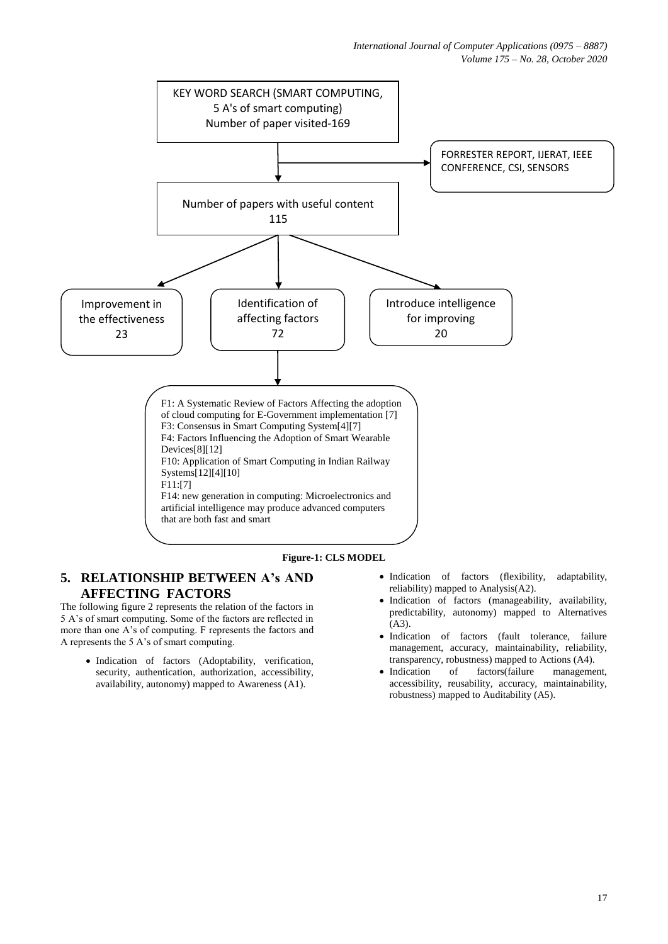

### **Figure-1: CLS MODEL**

## **5. RELATIONSHIP BETWEEN A's AND AFFECTING FACTORS**

The following figure 2 represents the relation of the factors in 5 A's of smart computing. Some of the factors are reflected in more than one A's of computing. F represents the factors and A represents the 5 A's of smart computing.

- Indication of factors (Adoptability, verification, security, authentication, authorization, accessibility, availability, autonomy) mapped to Awareness (A1).
- Indication of factors (flexibility, adaptability, reliability) mapped to Analysis(A2).
- Indication of factors (manageability, availability, predictability, autonomy) mapped to Alternatives  $(A3)$ .
- Indication of factors (fault tolerance, failure management, accuracy, maintainability, reliability, transparency, robustness) mapped to Actions (A4).
- Indication of factors(failure management, accessibility, reusability, accuracy, maintainability, robustness) mapped to Auditability (A5).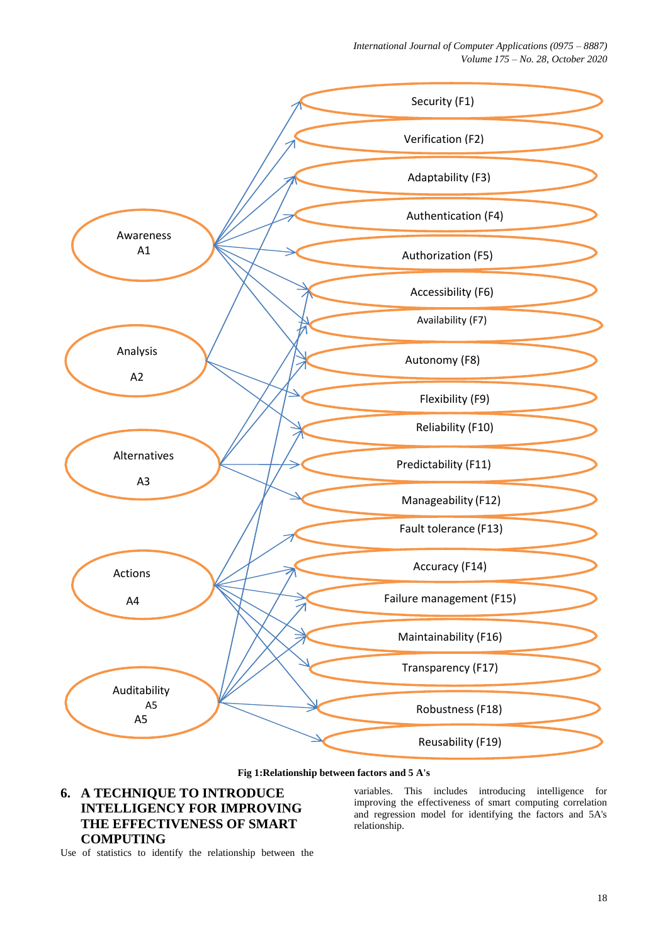*International Journal of Computer Applications (0975 – 8887) Volume 175 – No. 28, October 2020*



#### **Fig 1:Relationship between factors and 5 A's**

# **6. A TECHNIQUE TO INTRODUCE INTELLIGENCY FOR IMPROVING THE EFFECTIVENESS OF SMART COMPUTING**

variables. This includes introducing intelligence for improving the effectiveness of smart computing correlation and regression model for identifying the factors and 5A's relationship.

Use of statistics to identify the relationship between the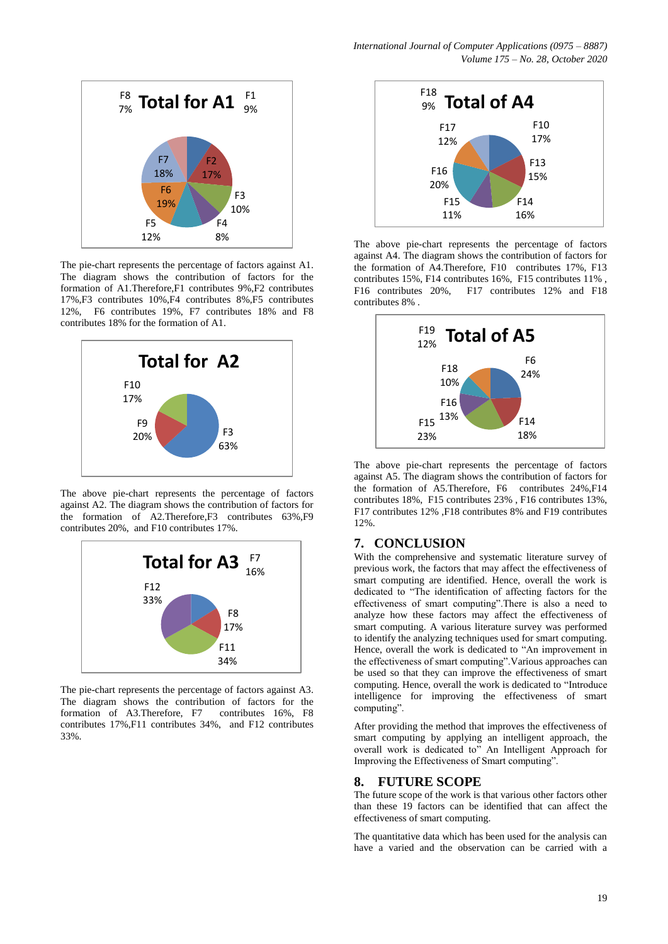

The pie-chart represents the percentage of factors against A1. The diagram shows the contribution of factors for the formation of A1.Therefore,F1 contributes 9%,F2 contributes 17%,F3 contributes 10%,F4 contributes 8%,F5 contributes 12%, F6 contributes 19%, F7 contributes 18% and F8 contributes 18% for the formation of A1.



The above pie-chart represents the percentage of factors against A2. The diagram shows the contribution of factors for the formation of A2.Therefore,F3 contributes 63%,F9 contributes 20%, and F10 contributes 17%.



The pie-chart represents the percentage of factors against A3. The diagram shows the contribution of factors for the formation of A3.Therefore, F7 contributes 16%, F8 contributes 17%,F11 contributes 34%, and F12 contributes 33%.



The above pie-chart represents the percentage of factors against A4. The diagram shows the contribution of factors for the formation of A4.Therefore, F10 contributes 17%, F13 contributes 15%, F14 contributes 16%, F15 contributes 11% , F16 contributes 20%, F17 contributes 12% and F18 contributes 8% .



The above pie-chart represents the percentage of factors against A5. The diagram shows the contribution of factors for the formation of A5.Therefore, F6 contributes 24%,F14 contributes 18%, F15 contributes 23% , F16 contributes 13%, F17 contributes 12% ,F18 contributes 8% and F19 contributes 12%.

## **7. CONCLUSION**

With the comprehensive and systematic literature survey of previous work, the factors that may affect the effectiveness of smart computing are identified. Hence, overall the work is dedicated to "The identification of affecting factors for the effectiveness of smart computing".There is also a need to analyze how these factors may affect the effectiveness of smart computing. A various literature survey was performed to identify the analyzing techniques used for smart computing. Hence, overall the work is dedicated to "An improvement in the effectiveness of smart computing".Various approaches can be used so that they can improve the effectiveness of smart computing. Hence, overall the work is dedicated to "Introduce intelligence for improving the effectiveness of smart computing".

After providing the method that improves the effectiveness of smart computing by applying an intelligent approach, the overall work is dedicated to" An Intelligent Approach for Improving the Effectiveness of Smart computing".

### **8. FUTURE SCOPE**

The future scope of the work is that various other factors other than these 19 factors can be identified that can affect the effectiveness of smart computing.

The quantitative data which has been used for the analysis can have a varied and the observation can be carried with a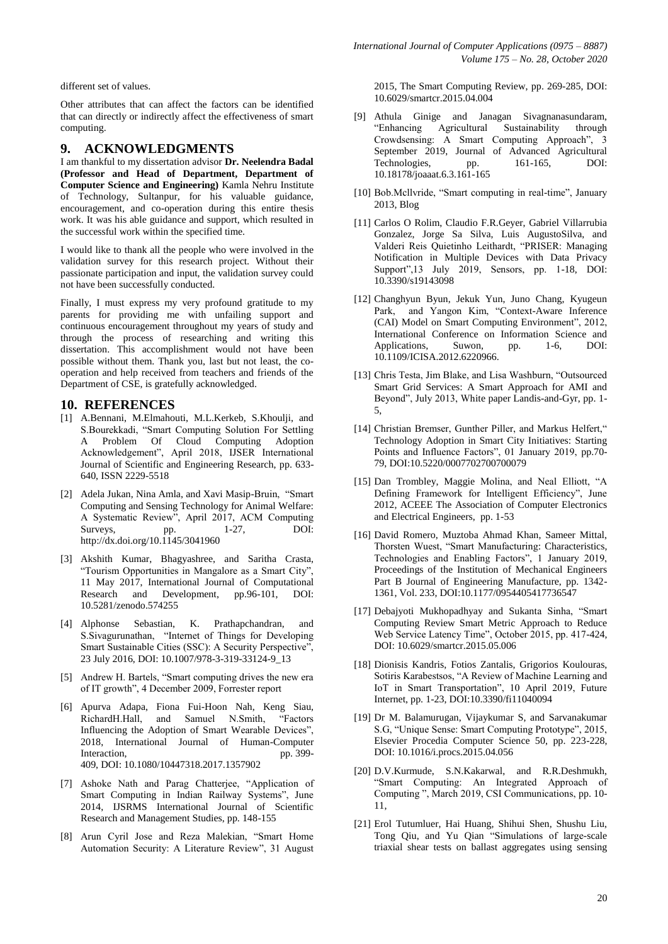different set of values.

Other attributes that can affect the factors can be identified that can directly or indirectly affect the effectiveness of smart computing.

### **9. ACKNOWLEDGMENTS**

I am thankful to my dissertation advisor **Dr. Neelendra Badal (Professor and Head of Department, Department of Computer Science and Engineering)** Kamla Nehru Institute of Technology, Sultanpur, for his valuable guidance, encouragement, and co-operation during this entire thesis work. It was his able guidance and support, which resulted in the successful work within the specified time.

I would like to thank all the people who were involved in the validation survey for this research project. Without their passionate participation and input, the validation survey could not have been successfully conducted.

Finally, I must express my very profound gratitude to my parents for providing me with unfailing support and continuous encouragement throughout my years of study and through the process of researching and writing this dissertation. This accomplishment would not have been possible without them. Thank you, last but not least, the cooperation and help received from teachers and friends of the Department of CSE, is gratefully acknowledged.

### **10. REFERENCES**

- [1] A.Bennani, M.Elmahouti, M.L.Kerkeb, S.Khoulji, and S.Bourekkadi, "Smart Computing Solution For Settling A Problem Of Cloud Computing Adoption Acknowledgement", April 2018, IJSER International Journal of Scientific and Engineering Research, pp. 633- 640, ISSN 2229-5518
- [2] Adela Jukan, Nina Amla, and Xavi Masip-Bruin, "Smart Computing and Sensing Technology for Animal Welfare: A Systematic Review", April 2017, ACM Computing Surveys, pp. 1-27, DOI: http://dx.doi.org/10.1145/3041960
- [3] Akshith Kumar, Bhagyashree, and Saritha Crasta, "Tourism Opportunities in Mangalore as a Smart City", 11 May 2017, International Journal of Computational Research and Development, pp.96-101, DOI: 10.5281/zenodo.574255
- [4] Alphonse Sebastian, K. Prathapchandran, and S.Sivagurunathan, "Internet of Things for Developing Smart Sustainable Cities (SSC): A Security Perspective", 23 July 2016, DOI: 10.1007/978-3-319-33124-9\_13
- [5] Andrew H. Bartels, "Smart computing drives the new era of IT growth", 4 December 2009, Forrester report
- [6] Apurva Adapa, Fiona Fui-Hoon Nah, Keng Siau, RichardH.Hall, and Samuel N.Smith, "Factors Influencing the Adoption of Smart Wearable Devices", 2018, International Journal of Human-Computer Interaction, pp. 399-409, DOI: [10.1080/10447318.2017.1357902](https://doi.org/10.1080/10447318.2017.1357902)
- [7] Ashoke Nath and Parag Chatterjee, "Application of Smart Computing in Indian Railway Systems", June 2014, IJSRMS International Journal of Scientific Research and Management Studies, pp. 148-155
- [8] Arun Cyril Jose and Reza Malekian, "Smart Home Automation Security: A Literature Review", 31 August

2015, The Smart Computing Review, pp. 269-285, DOI: 10.6029/smartcr.2015.04.004

- [9] Athula Ginige and Janagan Sivagnanasundaram, "Enhancing Agricultural Sustainability through Crowdsensing: A Smart Computing Approach", 3 September 2019, Journal of Advanced Agricultural Technologies, pp. 161-165, DOI: 10.18178/joaaat.6.3.161-165
- [10] Bob.Mcllyride, "Smart computing in real-time", January 2013, Blog
- [11] Carlos O Rolim, Claudio F.R.Geyer, Gabriel Villarrubia Gonzalez, Jorge Sa Silva, Luis AugustoSilva, and Valderi Reis Quietinho Leithardt, "PRISER: Managing Notification in Multiple Devices with Data Privacy Support",13 July 2019, Sensors, pp. 1-18, DOI: 10.3390/s19143098
- [12] Changhyun Byun, Jekuk Yun, Juno Chang, Kyugeun Park, and Yangon Kim, "Context-Aware Inference (CAI) Model on Smart Computing Environment", 2012, International Conference on Information Science and Applications, Suwon, pp. 1-6, DOI: 10.1109/ICISA.2012.6220966.
- [13] Chris Testa, Jim Blake, and Lisa Washburn, "Outsourced Smart Grid Services: A Smart Approach for AMI and Beyond", July 2013, White paper Landis-and-Gyr, pp. 1- 5,
- [14] Christian Bremser, Gunther Piller, and Markus Helfert," Technology Adoption in Smart City Initiatives: Starting Points and Influence Factors", 01 January 2019, pp.70- 79, DOI:10.5220/0007702700700079
- [15] Dan Trombley, Maggie Molina, and Neal Elliott, "A Defining Framework for Intelligent Efficiency", June 2012, ACEEE The Association of Computer Electronics and Electrical Engineers, pp. 1-53
- [16] David Romero, Muztoba Ahmad Khan, Sameer Mittal, Thorsten Wuest, "Smart Manufacturing: Characteristics, Technologies and Enabling Factors", 1 January 2019, Proceedings of the Institution of Mechanical Engineers Part B Journal of Engineering Manufacture, pp. 1342- 1361, Vol. 233, DOI:10.1177/0954405417736547
- [17] Debajyoti Mukhopadhyay and Sukanta Sinha, "Smart Computing Review Smart Metric Approach to Reduce Web Service Latency Time", October 2015, pp. 417-424, DOI: 10.6029/smartcr.2015.05.006
- [18] Dionisis Kandris, Fotios Zantalis, Grigorios Koulouras, Sotiris Karabestsos, "A Review of Machine Learning and IoT in Smart Transportation", 10 April 2019, Future Internet, pp. 1-23, DOI:10.3390/fi11040094
- [19] Dr M. Balamurugan, Vijaykumar S, and Sarvanakumar S.G, "Unique Sense: Smart Computing Prototype", 2015, Elsevier Procedia Computer Science 50, pp. 223-228, DOI: 10.1016/i.procs.2015.04.056
- [20] D.V.Kurmude, S.N.Kakarwal, and R.R.Deshmukh, "Smart Computing: An Integrated Approach of Computing ", March 2019, CSI Communications, pp. 10- 11,
- [21] Erol Tutumluer, Hai Huang, Shihui Shen, Shushu Liu, Tong Qiu, and Yu Qian "Simulations of large-scale triaxial shear tests on ballast aggregates using sensing